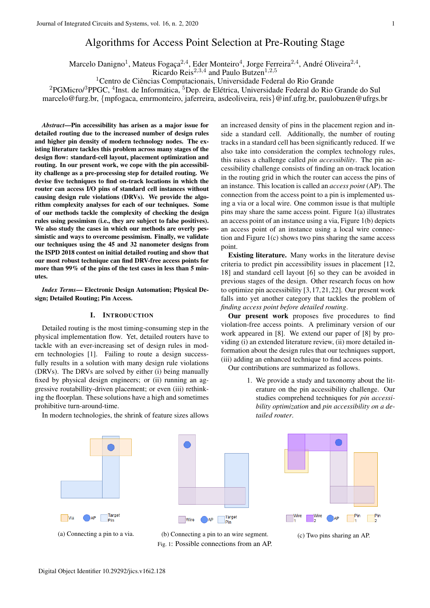# Algorithms for Access Point Selection at Pre-Routing Stage

Marcelo Danigno<sup>1</sup>, Mateus Fogaça<sup>2,4</sup>, Eder Monteiro<sup>4</sup>, Jorge Ferreira<sup>2,4</sup>, André Oliveira<sup>2,4</sup>,

Ricardo Reis<sup>2,3,4</sup> and Paulo Butzen<sup>1,2,5</sup>

<sup>1</sup> Centro de Ciências Computacionais, Universidade Federal do Rio Grande

 ${}^{2}$ PGMicro/ ${}^{3}$ PPGC,  ${}^{4}$ Inst. de Informática,  ${}^{5}$ Dep. de Elétrica, Universidade Federal do Rio Grande do Sul

marcelo@furg.br, {mpfogaca, emrmonteiro, jaferreira, asdeoliveira, reis}@inf.ufrg.br, paulobuzen@ufrgs.br

*Abstract*—Pin accessibility has arisen as a major issue for detailed routing due to the increased number of design rules and higher pin density of modern technology nodes. The existing literature tackles this problem across many stages of the design flow: standard-cell layout, placement optimization and routing. In our present work, we cope with the pin accessibility challenge as a pre-processing step for detailed routing. We devise five techniques to find on-track locations in which the router can access I/O pins of standard cell instances without causing design rule violations (DRVs). We provide the algorithm complexity analyses for each of our techniques. Some of our methods tackle the complexity of checking the design rules using pessimism (i.e., they are subject to false positives). We also study the cases in which our methods are overly pessimistic and ways to overcome pessimism. Finally, we validate our techniques using the 45 and 32 nanometer designs from the ISPD 2018 contest on initial detailed routing and show that our most robust technique can find DRV-free access points for more than 99% of the pins of the test cases in less than 5 minutes.

*Index Terms*— Electronic Design Automation; Physical Design; Detailed Routing; Pin Access.

# I. INTRODUCTION

Detailed routing is the most timing-consuming step in the physical implementation flow. Yet, detailed routers have to tackle with an ever-increasing set of design rules in modern technologies [1]. Failing to route a design successfully results in a solution with many design rule violations (DRVs). The DRVs are solved by either (i) being manually fixed by physical design engineers; or (ii) running an aggressive routabillity-driven placement; or even (iii) rethinking the floorplan. These solutions have a high and sometimes prohibitive turn-around-time.

In modern technologies, the shrink of feature sizes allows



Target **Wire** Pin

Fig. 1: Possible connections from an AP.

an increased density of pins in the placement region and inside a standard cell. Additionally, the number of routing tracks in a standard cell has been significantly reduced. If we also take into consideration the complex technology rules, this raises a challenge called *pin accessibility*. The pin accessibility challenge consists of finding an on-track location in the routing grid in which the router can access the pins of an instance. This location is called an *access point* (AP). The connection from the access point to a pin is implemented using a via or a local wire. One common issue is that multiple pins may share the same access point. Figure 1(a) illustrates an access point of an instance using a via, Figure 1(b) depicts an access point of an instance using a local wire connection and Figure 1(c) shows two pins sharing the same access point.

Existing literature. Many works in the literature devise criteria to predict pin accessibility issues in placement [12, 18] and standard cell layout [6] so they can be avoided in previous stages of the design. Other research focus on how to optimize pin accessibility [3,17,21,22]. Our present work falls into yet another category that tackles the problem of *finding access point before detailed routing*.

Our present work proposes five procedures to find violation-free access points. A preliminary version of our work appeared in [8]. We extend our paper of [8] by providing (i) an extended literature review, (ii) more detailed information about the design rules that our techniques support, (iii) adding an enhanced technique to find access points.

Our contributions are summarized as follows.

1. We provide a study and taxonomy about the literature on the pin accessibility challenge. Our studies comprehend techniques for *pin accessibility optimization* and *pin accessibility on a detailed router*.

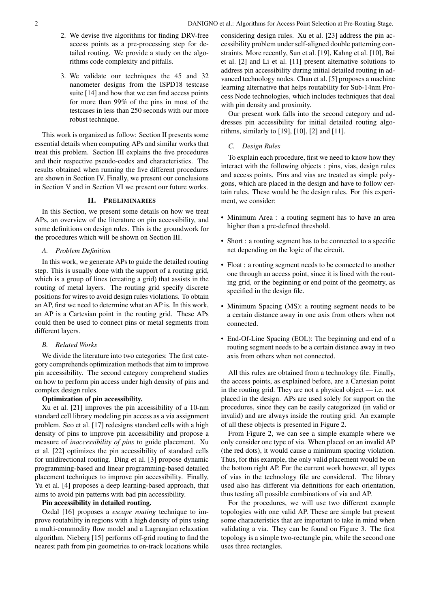- 2. We devise five algorithms for finding DRV-free access points as a pre-processing step for detailed routing. We provide a study on the algorithms code complexity and pitfalls.
- 3. We validate our techniques the 45 and 32 nanometer designs from the ISPD18 testcase suite [14] and how that we can find access points for more than 99% of the pins in most of the testcases in less than 250 seconds with our more robust technique.

This work is organized as follow: Section II presents some essential details when computing APs and similar works that treat this problem. Section III explains the five procedures and their respective pseudo-codes and characteristics. The results obtained when running the five different procedures are shown in Section IV. Finally, we present our conclusions in Section V and in Section VI we present our future works.

# II. PRELIMINARIES

In this Section, we present some details on how we treat APs, an overview of the literature on pin accessibility, and some definitions on design rules. This is the groundwork for the procedures which will be shown on Section III.

# *A. Problem Definition*

In this work, we generate APs to guide the detailed routing step. This is usually done with the support of a routing grid, which is a group of lines (creating a grid) that assists in the routing of metal layers. The routing grid specify discrete positions for wires to avoid design rules violations. To obtain an AP, first we need to determine what an AP is. In this work, an AP is a Cartesian point in the routing grid. These APs could then be used to connect pins or metal segments from different layers.

## *B. Related Works*

We divide the literature into two categories: The first category comprehends optimization methods that aim to improve pin accessibility. The second category comprehend studies on how to perform pin access under high density of pins and complex design rules.

# Optimization of pin accessibility.

Xu et al. [21] improves the pin accessibility of a 10-nm standard cell library modeling pin access as a via assignment problem. Seo et al. [17] redesigns standard cells with a high density of pins to improve pin accessibility and propose a measure of *inaccessibility of pins* to guide placement. Xu et al. [22] optimizes the pin accessibility of standard cells for unidirectional routing. Ding et al. [3] propose dynamic programming-based and linear programming-based detailed placement techniques to improve pin accessibility. Finally, Yu et al. [4] proposes a deep learning-based approach, that aims to avoid pin patterns with bad pin accessibility.

# Pin accessibility in detailed routing.

Ozdal [16] proposes a *escape routing* technique to improve routability in regions with a high density of pins using a multi-commodity flow model and a Lagrangian relaxation algorithm. Nieberg [15] performs off-grid routing to find the nearest path from pin geometries to on-track locations while considering design rules. Xu et al. [23] address the pin accessibility problem under self-aligned double patterning constraints. More recently, Sun et al. [19], Kahng et al. [10], Bai et al. [2] and Li et al. [11] present alternative solutions to address pin accessibility during initial detailed routing in advanced technology nodes. Chan et al. [5] proposes a machine learning alternative that helps routability for Sub-14nm Process Node technologies, which includes techniques that deal with pin density and proximity.

Our present work falls into the second category and addresses pin accessibility for initial detailed routing algorithms, similarly to [19], [10], [2] and [11].

## *C. Design Rules*

To explain each procedure, first we need to know how they interact with the following objects : pins, vias, design rules and access points. Pins and vias are treated as simple polygons, which are placed in the design and have to follow certain rules. These would be the design rules. For this experiment, we consider:

- Minimum Area : a routing segment has to have an area higher than a pre-defined threshold.
- Short : a routing segment has to be connected to a specific net depending on the logic of the circuit.
- Float : a routing segment needs to be connected to another one through an access point, since it is lined with the routing grid, or the beginning or end point of the geometry, as specified in the design file.
- Minimum Spacing (MS): a routing segment needs to be a certain distance away in one axis from others when not connected.
- End-Of-Line Spacing (EOL): The beginning and end of a routing segment needs to be a certain distance away in two axis from others when not connected.

All this rules are obtained from a technology file. Finally, the access points, as explained before, are a Cartesian point in the routing grid. They are not a physical object — i.e. not placed in the design. APs are used solely for support on the procedures, since they can be easily categorized (in valid or invalid) and are always inside the routing grid. An example of all these objects is presented in Figure 2.

From Figure 2, we can see a simple example where we only consider one type of via. When placed on an invalid AP (the red dots), it would cause a minimum spacing violation. Thus, for this example, the only valid placement would be on the bottom right AP. For the current work however, all types of vias in the technology file are considered. The library used also has different via definitions for each orientation, thus testing all possible combinations of via and AP.

For the procedures, we will use two different example topologies with one valid AP. These are simple but present some characteristics that are important to take in mind when validating a via. They can be found on Figure 3. The first topology is a simple two-rectangle pin, while the second one uses three rectangles.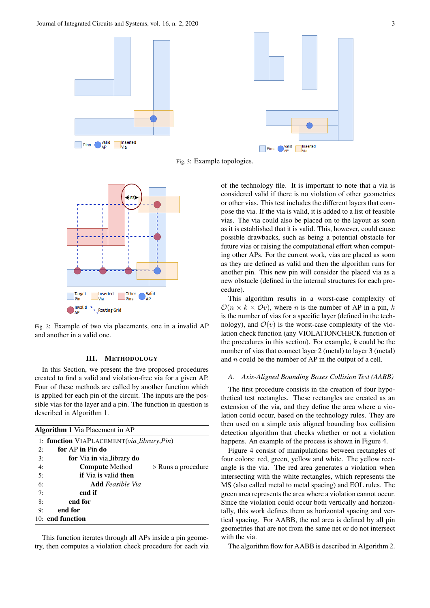

Fig. 3: Example topologies.



Fig. 2: Example of two via placements, one in a invalid AP and another in a valid one.

# III. METHODOLOGY

In this Section, we present the five proposed procedures created to find a valid and violation-free via for a given AP. Four of these methods are called by another function which is applied for each pin of the circuit. The inputs are the possible vias for the layer and a pin. The function in question is described in Algorithm 1.

|    | <b>Algorithm 1</b> Via Placement in AP                     |
|----|------------------------------------------------------------|
|    | 1: function VIAPLACEMENT(via_library,Pin)                  |
| 2: | for AP in Pin do                                           |
| 3: | <b>for</b> Via <b>in</b> via_library <b>do</b>             |
| 4: | <b>Compute Method</b><br>$\triangleright$ Runs a procedure |
| 5: | <b>if</b> Via <b>is</b> valid <b>then</b>                  |
| 6: | <b>Add</b> Feasible Via                                    |
| 7: | end if                                                     |
| 8: | end for                                                    |
| 9: | end for                                                    |
|    | 10: end function                                           |

This function iterates through all APs inside a pin geometry, then computes a violation check procedure for each via of the technology file. It is important to note that a via is considered valid if there is no violation of other geometries or other vias. This test includes the different layers that compose the via. If the via is valid, it is added to a list of feasible vias. The via could also be placed on to the layout as soon as it is established that it is valid. This, however, could cause possible drawbacks, such as being a potential obstacle for future vias or raising the computational effort when computing other APs. For the current work, vias are placed as soon as they are defined as valid and then the algorithm runs for another pin. This new pin will consider the placed via as a new obstacle (defined in the internal structures for each procedure).

This algorithm results in a worst-case complexity of  $\mathcal{O}(n \times k \times \mathcal{O}v)$ , where *n* is the number of AP in a pin, k is the number of vias for a specific layer (defined in the technology), and  $\mathcal{O}(v)$  is the worst-case complexity of the violation check function (any VIOLATIONCHECK function of the procedures in this section). For example,  $k$  could be the number of vias that connect layer 2 (metal) to layer 3 (metal) and n could be the number of AP in the output of a cell.

#### *A. Axis-Aligned Bounding Boxes Collision Test (AABB)*

The first procedure consists in the creation of four hypothetical test rectangles. These rectangles are created as an extension of the via, and they define the area where a violation could occur, based on the technology rules. They are then used on a simple axis aligned bounding box collision detection algorithm that checks whether or not a violation happens. An example of the process is shown in Figure 4.

Figure 4 consist of manipulations between rectangles of four colors: red, green, yellow and white. The yellow rectangle is the via. The red area generates a violation when intersecting with the white rectangles, which represents the MS (also called metal to metal spacing) and EOL rules. The green area represents the area where a violation cannot occur. Since the violation could occur both vertically and horizontally, this work defines them as horizontal spacing and vertical spacing. For AABB, the red area is defined by all pin geometries that are not from the same net or do not intersect with the via.

The algorithm flow for AABB is described in Algorithm 2.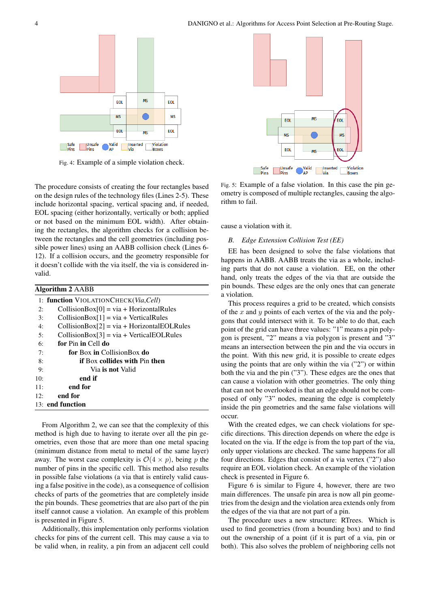

Fig. 4: Example of a simple violation check.

The procedure consists of creating the four rectangles based on the design rules of the technology files (Lines 2-5). These include horizontal spacing, vertical spacing and, if needed, EOL spacing (either horizontally, vertically or both; applied or not based on the minimum EOL width). After obtaining the rectangles, the algorithm checks for a collision between the rectangles and the cell geometries (including possible power lines) using an AABB collision check (Lines 6- 12). If a collision occurs, and the geometry responsible for it doesn't collide with the via itself, the via is considered invalid.

| Algorithm 2 AABB                              |  |  |  |  |  |  |  |  |  |
|-----------------------------------------------|--|--|--|--|--|--|--|--|--|
| 1: function VIOLATIONCHECK(Via, Cell)         |  |  |  |  |  |  |  |  |  |
| $CollisionBox[0] = via + HorizontalRules$     |  |  |  |  |  |  |  |  |  |
| $CollisionBox[1] = via + Vertical Rules$      |  |  |  |  |  |  |  |  |  |
| $CollisionBox[2] = via + Horizontal EOLRules$ |  |  |  |  |  |  |  |  |  |
| $CollisionBox[3] = via + VerticalEOLRules$    |  |  |  |  |  |  |  |  |  |
| for Pin in Cell do                            |  |  |  |  |  |  |  |  |  |
| <b>for Box in CollisionBox do</b>             |  |  |  |  |  |  |  |  |  |
| <b>if Box collides with Pin then</b>          |  |  |  |  |  |  |  |  |  |
| Via is not Valid                              |  |  |  |  |  |  |  |  |  |
| end if                                        |  |  |  |  |  |  |  |  |  |
| end for                                       |  |  |  |  |  |  |  |  |  |
| end for                                       |  |  |  |  |  |  |  |  |  |
| 13: end function                              |  |  |  |  |  |  |  |  |  |
|                                               |  |  |  |  |  |  |  |  |  |

From Algorithm 2, we can see that the complexity of this method is high due to having to iterate over all the pin geometries, even those that are more than one metal spacing (minimum distance from metal to metal of the same layer) away. The worst case complexity is  $\mathcal{O}(4 \times p)$ , being p the number of pins in the specific cell. This method also results in possible false violations (a via that is entirely valid causing a false positive in the code), as a consequence of collision checks of parts of the geometries that are completely inside the pin bounds. These geometries that are also part of the pin itself cannot cause a violation. An example of this problem is presented in Figure 5.

Additionally, this implementation only performs violation checks for pins of the current cell. This may cause a via to be valid when, in reality, a pin from an adjacent cell could



Fig. 5: Example of a false violation. In this case the pin geometry is composed of multiple rectangles, causing the algorithm to fail.

cause a violation with it.

## *B. Edge Extension Collision Test (EE)*

EE has been designed to solve the false violations that happens in AABB. AABB treats the via as a whole, including parts that do not cause a violation. EE, on the other hand, only treats the edges of the via that are outside the pin bounds. These edges are the only ones that can generate a violation.

This process requires a grid to be created, which consists of the x and y points of each vertex of the via and the polygons that could intersect with it. To be able to do that, each point of the grid can have three values: "1" means a pin polygon is present, "2" means a via polygon is present and "3" means an intersection between the pin and the via occurs in the point. With this new grid, it is possible to create edges using the points that are only within the via ("2") or within both the via and the pin ("3"). These edges are the ones that can cause a violation with other geometries. The only thing that can not be overlooked is that an edge should not be composed of only "3" nodes, meaning the edge is completely inside the pin geometries and the same false violations will occur.

With the created edges, we can check violations for specific directions. This direction depends on where the edge is located on the via. If the edge is from the top part of the via, only upper violations are checked. The same happens for all four directions. Edges that consist of a via vertex ("2") also require an EOL violation check. An example of the violation check is presented in Figure 6.

Figure 6 is similar to Figure 4, however, there are two main differences. The unsafe pin area is now all pin geometries from the design and the violation area extends only from the edges of the via that are not part of a pin.

The procedure uses a new structure: RTrees. Which is used to find geometries (from a bounding box) and to find out the ownership of a point (if it is part of a via, pin or both). This also solves the problem of neighboring cells not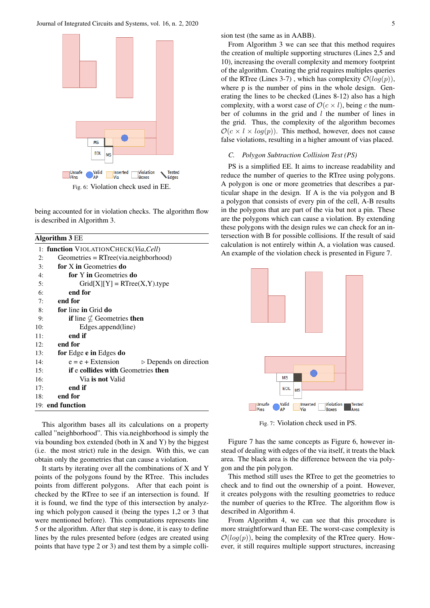Journal of Integrated Circuits and Systems, vol. 16, n. 2, 2020 5



being accounted for in violation checks. The algorithm flow is described in Algorithm 3.

Algorithm 3 EE

|     | 1: <b>function</b> VIOLATIONCHECK( <i>Via,Cell</i> )         |  |  |  |  |  |  |  |  |  |
|-----|--------------------------------------------------------------|--|--|--|--|--|--|--|--|--|
| 2:  | $Geometrics = RTree(via.neighbourhood)$                      |  |  |  |  |  |  |  |  |  |
| 3:  | for X in Geometries do                                       |  |  |  |  |  |  |  |  |  |
| 4:  | for Y in Geometries do                                       |  |  |  |  |  |  |  |  |  |
| 5:  | $Grid[X][Y] = RTree(X, Y).type$                              |  |  |  |  |  |  |  |  |  |
| 6:  | end for                                                      |  |  |  |  |  |  |  |  |  |
| 7:  | end for                                                      |  |  |  |  |  |  |  |  |  |
| 8:  | for line in Grid do                                          |  |  |  |  |  |  |  |  |  |
| 9:  | <b>if</b> line $\nsubseteq$ Geometries <b>then</b>           |  |  |  |  |  |  |  |  |  |
| 10: | Edges.append(line)                                           |  |  |  |  |  |  |  |  |  |
| 11: | end if                                                       |  |  |  |  |  |  |  |  |  |
| 12: | end for                                                      |  |  |  |  |  |  |  |  |  |
| 13: | for Edge e in Edges do                                       |  |  |  |  |  |  |  |  |  |
| 14: | $e = e +$ Extension<br>$\triangleright$ Depends on direction |  |  |  |  |  |  |  |  |  |
| 15: | if e collides with Geometries then                           |  |  |  |  |  |  |  |  |  |
| 16: | Via <b>is not</b> Valid                                      |  |  |  |  |  |  |  |  |  |
| 17: | end if                                                       |  |  |  |  |  |  |  |  |  |
| 18: | end for                                                      |  |  |  |  |  |  |  |  |  |
|     | 19: end function                                             |  |  |  |  |  |  |  |  |  |
|     |                                                              |  |  |  |  |  |  |  |  |  |

This algorithm bases all its calculations on a property called "neighborhood". This via.neighborhood is simply the via bounding box extended (both in  $X$  and  $Y$ ) by the biggest (i.e. the most strict) rule in the design. With this, we can obtain only the geometries that can cause a violation.

It starts by iterating over all the combinations of X and Y points of the polygons found by the RTree. This includes points from different polygons. After that each point is checked by the RTree to see if an intersection is found. If it is found, we find the type of this intersection by analyzing which polygon caused it (being the types 1,2 or 3 that were mentioned before). This computations represents line 5 or the algorithm. After that step is done, it is easy to define lines by the rules presented before (edges are created using points that have type 2 or 3) and test them by a simple collision test (the same as in AABB).

From Algorithm 3 we can see that this method requires the creation of multiple supporting structures (Lines 2,5 and 10), increasing the overall complexity and memory footprint of the algorithm. Creating the grid requires multiples queries of the RTree (Lines 3-7), which has complexity  $\mathcal{O}(log(p))$ , where p is the number of pins in the whole design. Generating the lines to be checked (Lines 8-12) also has a high complexity, with a worst case of  $\mathcal{O}(c \times l)$ , being c the number of columns in the grid and  $l$  the number of lines in the grid. Thus, the complexity of the algorithm becomes  $\mathcal{O}(c \times l \times log(p))$ . This method, however, does not cause false violations, resulting in a higher amount of vias placed.

#### *C. Polygon Subtraction Collision Test (PS)*

PS is a simplified EE. It aims to increase readability and reduce the number of queries to the RTree using polygons. A polygon is one or more geometries that describes a particular shape in the design. If A is the via polygon and B a polygon that consists of every pin of the cell, A-B results in the polygons that are part of the via but not a pin. These are the polygons which can cause a violation. By extending these polygons with the design rules we can check for an intersection with B for possible collisions. If the result of said calculation is not entirely within A, a violation was caused. An example of the violation check is presented in Figure 7.



Fig. 7: Violation check used in PS.

Figure 7 has the same concepts as Figure 6, however instead of dealing with edges of the via itself, it treats the black area. The black area is the difference between the via polygon and the pin polygon.

This method still uses the RTree to get the geometries to check and to find out the ownership of a point. However, it creates polygons with the resulting geometries to reduce the number of queries to the RTree. The algorithm flow is described in Algorithm 4.

From Algorithm 4, we can see that this procedure is more straightforward than EE. The worst-case complexity is  $\mathcal{O}(log(p))$ , being the complexity of the RTree query. However, it still requires multiple support structures, increasing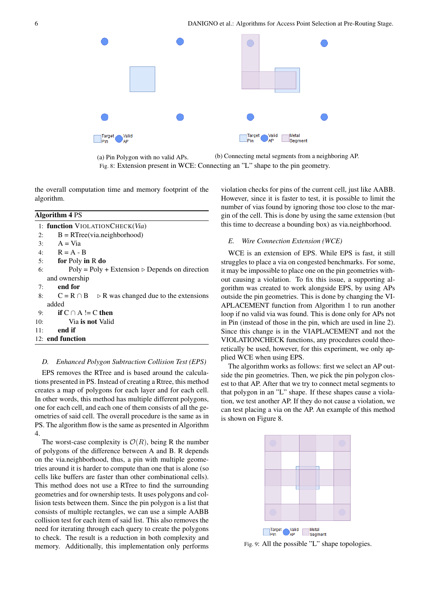

(a) Pin Polygon with no valid APs. (b) Connecting metal segments from a neighboring AP. Fig. 8: Extension present in WCE: Connecting an "L" shape to the pin geometry.

the overall computation time and memory footprint of the algorithm.

# Algorithm 4 PS

|     | 1: function VIOLATIONCHECK(Via)                                  |  |  |  |  |  |  |  |
|-----|------------------------------------------------------------------|--|--|--|--|--|--|--|
| 2:  | $B = RTree(via.neighbourhood)$                                   |  |  |  |  |  |  |  |
| 3:  | $A = Via$                                                        |  |  |  |  |  |  |  |
|     | 4: $R = A - B$                                                   |  |  |  |  |  |  |  |
|     | for Poly in R do<br>5:                                           |  |  |  |  |  |  |  |
| 6:  | $Poly = Poly + Extension \triangleright Depends on direction$    |  |  |  |  |  |  |  |
|     | and ownership                                                    |  |  |  |  |  |  |  |
| 7:  | end for                                                          |  |  |  |  |  |  |  |
| 8:  | $C = R \cap B$ $\Rightarrow$ R was changed due to the extensions |  |  |  |  |  |  |  |
|     | added                                                            |  |  |  |  |  |  |  |
|     | 9: if $C \cap A$ != C then                                       |  |  |  |  |  |  |  |
| 10: | Via is not Valid                                                 |  |  |  |  |  |  |  |
| 11: | end if                                                           |  |  |  |  |  |  |  |
|     | 12: end function                                                 |  |  |  |  |  |  |  |
|     |                                                                  |  |  |  |  |  |  |  |

#### *D. Enhanced Polygon Subtraction Collision Test (EPS)*

EPS removes the RTree and is based around the calculations presented in PS. Instead of creating a Rtree, this method creates a map of polygons for each layer and for each cell. In other words, this method has multiple different polygons, one for each cell, and each one of them consists of all the geometries of said cell. The overall procedure is the same as in PS. The algorithm flow is the same as presented in Algorithm 4.

The worst-case complexity is  $\mathcal{O}(R)$ , being R the number of polygons of the difference between A and B. R depends on the via.neighborhood, thus, a pin with multiple geometries around it is harder to compute than one that is alone (so cells like buffers are faster than other combinational cells). This method does not use a RTree to find the surrounding geometries and for ownership tests. It uses polygons and collision tests between them. Since the pin polygon is a list that consists of multiple rectangles, we can use a simple AABB collision test for each item of said list. This also removes the need for iterating through each query to create the polygons to check. The result is a reduction in both complexity and memory. Additionally, this implementation only performs violation checks for pins of the current cell, just like AABB. However, since it is faster to test, it is possible to limit the number of vias found by ignoring those too close to the margin of the cell. This is done by using the same extension (but this time to decrease a bounding box) as via.neighborhood.

## *E. Wire Connection Extension (WCE)*

WCE is an extension of EPS. While EPS is fast, it still struggles to place a via on congested benchmarks. For some, it may be impossible to place one on the pin geometries without causing a violation. To fix this issue, a supporting algorithm was created to work alongside EPS, by using APs outside the pin geometries. This is done by changing the VI-APLACEMENT function from Algorithm 1 to run another loop if no valid via was found. This is done only for APs not in Pin (instead of those in the pin, which are used in line 2). Since this change is in the VIAPLACEMENT and not the VIOLATIONCHECK functions, any procedures could theoretically be used, however, for this experiment, we only applied WCE when using EPS.

The algorithm works as follows: first we select an AP outside the pin geometries. Then, we pick the pin polygon closest to that AP. After that we try to connect metal segments to that polygon in an "L" shape. If these shapes cause a violation, we test another AP. If they do not cause a violation, we can test placing a via on the AP. An example of this method is shown on Figure 8.



Fig. 9: All the possible "L" shape topologies.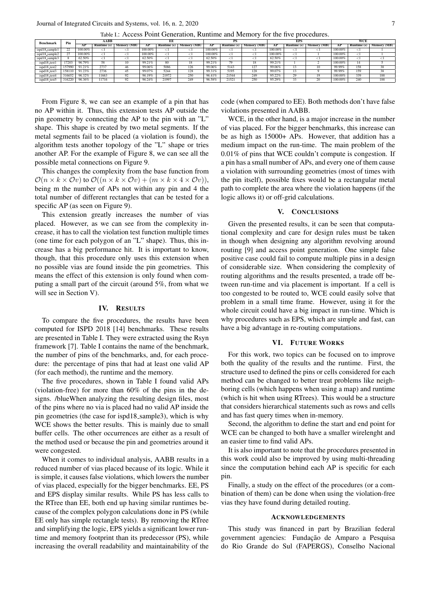| <b>Benchmark</b> | Pin    | AABB    |                    |             | EЕ         |                    |             |         |             |             | EPS     |                    |             | <b>WCE</b> |             |             |
|------------------|--------|---------|--------------------|-------------|------------|--------------------|-------------|---------|-------------|-------------|---------|--------------------|-------------|------------|-------------|-------------|
|                  |        | AP      | <b>Runtime</b> (s) | Memory (MB) | АP         | <b>Runtime</b> (s) | Memory (MB) | AP      | Runtime (s) | Memory (MB) | AP      | <b>Runtime</b> (s) | Memory (MB) | АP         | Runtime (s) | Memory (MB) |
| ispd18_sample1   | 22     | 100,00% |                    |             | 100.00%    |                    |             | 100,00% |             |             | 100,00% |                    |             | 100,00%    |             |             |
| ispd18_sample2   | 27     | 100,00% |                    |             | $100.00\%$ |                    |             | 100,00% |             |             | 100,00% |                    |             | 100,00%    |             |             |
| ispd18_sample3   |        | 62.50%  |                    |             | 62.50%     |                    |             | 62.50%  |             |             | 62.50%  |                    |             | 100,00%    |             |             |
| ispd18_test1     | 17203  | 96.79%  | 58                 | 10          | 99.21%     | 80                 | 18          | 99.21%  | 79          | 18          | 99.21%  |                    |             | 100,00%    | 14          |             |
| ispd18_test2     | 157990 | 91.21%  | 2737               |             | 99.06%     | 5086               | 126         | 99.06%  | 5143        | 127         | 99.06%  |                    |             | 99.99%     | 158         | 38          |
| ispd18_test3     | 158110 | 91.23%  | 2736               |             | 99.07%     | 5244               | 128         | 99.31%  | 5195        | 128         | 99.07%  |                    |             | 99.99%     | 159         | 38          |
| ispd18_test4     | 316652 | 96.32%  | 1663               |             | 96.19%     | 21972              | 250         | 96.41%  | 21544       | 249         | 95.22%  | 29                 |             | 100,00%    | 339         | 188         |
| ispd18_test5     | 316220 | 96.36%  | 1716               |             | 96.24%     | 21997              | 249         | 96.58%  | 21521       | 250         | 95.29%  |                    |             | 100,00%    | 240         | 188         |

From Figure 8, we can see an example of a pin that has no AP within it. Thus, this extension tests AP outside the pin geometry by connecting the AP to the pin with an "L" shape. This shape is created by two metal segments. If the metal segments fail to be placed (a violation is found), the algorithm tests another topology of the "L" shape or tries another AP. For the example of Figure 8, we can see all the possible metal connections on Figure 9.

This changes the complexity from the base function from  $\mathcal{O}(n \times k \times \mathcal{O}v)$  to  $\mathcal{O}((n \times k \times \mathcal{O}v) + (m \times k \times 4 \times \mathcal{O}v)),$ being m the number of APs not within any pin and 4 the total number of different rectangles that can be tested for a specific AP (as seen on Figure 9).

This extension greatly increases the number of vias placed. However, as we can see from the complexity increase, it has to call the violation test function multiple times (one time for each polygon of an "L" shape). Thus, this increase has a big performance hit. It is important to know, though, that this procedure only uses this extension when no possible vias are found inside the pin geometries. This means the effect of this extension is only found when computing a small part of the circuit (around 5%, from what we will see in Section V).

#### IV. RESULTS

To compare the five procedures, the results have been computed for ISPD 2018 [14] benchmarks. These results are presented in Table I. They were extracted using the Rsyn framework [7]. Table I contains the name of the benchmark, the number of pins of the benchmarks, and, for each procedure: the percentage of pins that had at least one valid AP (for each method), the runtime and the memory.

The five procedures, shown in Table I found valid APs (violation-free) for more than 60% of the pins in the designs. /blueWhen analyzing the resulting design files, most of the pins where no via is placed had no valid AP inside the pin geometries (the case for ispd18 sample3), which is why WCE shows the better results. This is mainly due to small buffer cells. The other occurrences are either as a result of the method used or because the pin and geometries around it were congested.

When it comes to individual analysis, AABB results in a reduced number of vias placed because of its logic. While it is simple, it causes false violations, which lowers the number of vias placed, especially for the bigger benchmarks. EE, PS and EPS display similar results. While PS has less calls to the RTree than EE, both end up having similar runtimes because of the complex polygon calculations done in PS (while EE only has simple rectangle tests). By removing the RTree and simplifying the logic, EPS yields a significant lower runtime and memory footprint than its predecessor (PS), while increasing the overall readability and maintainability of the code (when compared to EE). Both methods don't have false violations presented in AABB.

WCE, in the other hand, is a major increase in the number of vias placed. For the bigger benchmarks, this increase can be as high as 15000+ APs. However, that addition has a medium impact on the run-time. The main problem of the 0.01% of pins that WCE couldn't compute is congestion. If a pin has a small number of APs, and every one of them cause a violation with surrounding geometries (most of times with the pin itself), possible fixes would be a rectangular metal path to complete the area where the violation happens (if the logic allows it) or off-grid calculations.

#### V. CONCLUSIONS

Given the presented results, it can be seen that computational complexity and care for design rules must be taken in though when designing any algorithm revolving around routing [9] and access point generation. One simple false positive case could fail to compute multiple pins in a design of considerable size. When considering the complexity of routing algorithms and the results presented, a trade off between run-time and via placement is important. If a cell is too congested to be routed to, WCE could easily solve that problem in a small time frame. However, using it for the whole circuit could have a big impact in run-time. Which is why procedures such as EPS, which are simple and fast, can have a big advantage in re-routing computations.

#### VI. FUTURE WORKS

For this work, two topics can be focused on to improve both the quality of the results and the runtime. First, the structure used to defined the pins or cells considered for each method can be changed to better treat problems like neighboring cells (which happens when using a map) and runtime (which is hit when using RTrees). This would be a structure that considers hierarchical statements such as rows and cells and has fast query times when in-memory.

Second, the algorithm to define the start and end point for WCE can be changed to both have a smaller wirelenght and an easier time to find valid APs.

It is also important to note that the procedures presented in this work could also be improved by using multi-threading since the computation behind each AP is specific for each pin.

Finally, a study on the effect of the procedures (or a combination of them) can be done when using the violation-free vias they have found during detailed routing.

#### ACKNOWLEDGEMENTS

This study was financed in part by Brazilian federal government agencies: Fundação de Amparo a Pesquisa do Rio Grande do Sul (FAPERGS), Conselho Nacional